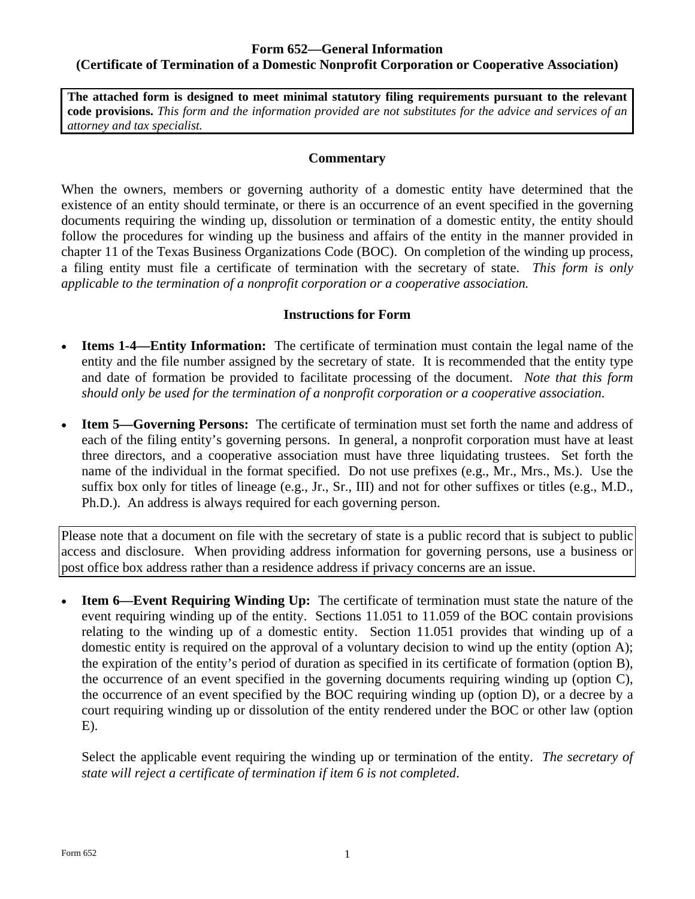#### **Form 652—General Information (Certificate of Termination of a Domestic Nonprofit Corporation or Cooperative Association)**

**The attached form is designed to meet minimal statutory filing requirements pursuant to the relevant code provisions.** *This form and the information provided are not substitutes for the advice and services of an attorney and tax specialist.* 

#### **Commentary**

When the owners, members or governing authority of a domestic entity have determined that the existence of an entity should terminate, or there is an occurrence of an event specified in the governing documents requiring the winding up, dissolution or termination of a domestic entity, the entity should follow the procedures for winding up the business and affairs of the entity in the manner provided in chapter 11 of the Texas Business Organizations Code (BOC). On completion of the winding up process, a filing entity must file a certificate of termination with the secretary of state. *This form is only applicable to the termination of a nonprofit corporation or a cooperative association.* 

#### **Instructions for Form**

- **Items 1-4—Entity Information:** The certificate of termination must contain the legal name of the entity and the file number assigned by the secretary of state. It is recommended that the entity type and date of formation be provided to facilitate processing of the document. *Note that this form should only be used for the termination of a nonprofit corporation or a cooperative association*.
- **Item 5—Governing Persons:** The certificate of termination must set forth the name and address of each of the filing entity's governing persons. In general, a nonprofit corporation must have at least three directors, and a cooperative association must have three liquidating trustees. Set forth the name of the individual in the format specified. Do not use prefixes (e.g., Mr., Mrs., Ms.). Use the suffix box only for titles of lineage (e.g., Jr., Sr., III) and not for other suffixes or titles (e.g., M.D., Ph.D.). An address is always required for each governing person.

Please note that a document on file with the secretary of state is a public record that is subject to public access and disclosure. When providing address information for governing persons, use a business or post office box address rather than a residence address if privacy concerns are an issue.

 **Item 6—Event Requiring Winding Up:** The certificate of termination must state the nature of the event requiring winding up of the entity. Sections 11.051 to 11.059 of the BOC contain provisions relating to the winding up of a domestic entity. Section 11.051 provides that winding up of a domestic entity is required on the approval of a voluntary decision to wind up the entity (option A); the expiration of the entity's period of duration as specified in its certificate of formation (option B), the occurrence of an event specified in the governing documents requiring winding up (option C), the occurrence of an event specified by the BOC requiring winding up (option D), or a decree by a court requiring winding up or dissolution of the entity rendered under the BOC or other law (option  $E$ ).

Select the applicable event requiring the winding up or termination of the entity. *The secretary of state will reject a certificate of termination if item 6 is not completed*.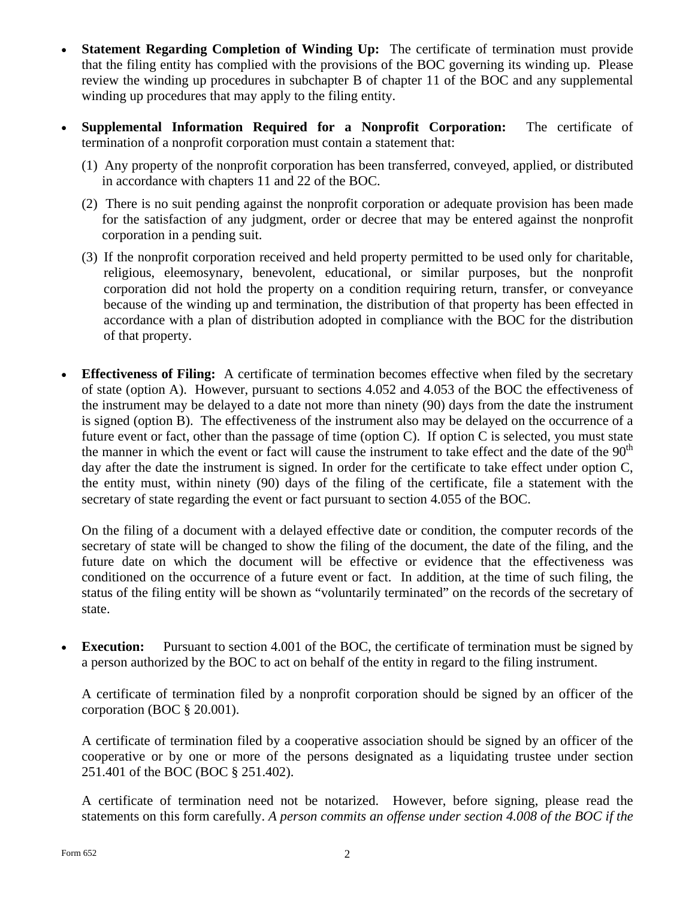- **Statement Regarding Completion of Winding Up:** The certificate of termination must provide that the filing entity has complied with the provisions of the BOC governing its winding up. Please review the winding up procedures in subchapter B of chapter 11 of the BOC and any supplemental winding up procedures that may apply to the filing entity.
- **Supplemental Information Required for a Nonprofit Corporation:** The certificate of termination of a nonprofit corporation must contain a statement that:
	- (1) Any property of the nonprofit corporation has been transferred, conveyed, applied, or distributed in accordance with chapters 11 and 22 of the BOC.
	- (2) There is no suit pending against the nonprofit corporation or adequate provision has been made for the satisfaction of any judgment, order or decree that may be entered against the nonprofit corporation in a pending suit.
	- (3) If the nonprofit corporation received and held property permitted to be used only for charitable, religious, eleemosynary, benevolent, educational, or similar purposes, but the nonprofit corporation did not hold the property on a condition requiring return, transfer, or conveyance because of the winding up and termination, the distribution of that property has been effected in accordance with a plan of distribution adopted in compliance with the BOC for the distribution of that property.
- **Effectiveness of Filing:** A certificate of termination becomes effective when filed by the secretary of state (option A). However, pursuant to sections 4.052 and 4.053 of the BOC the effectiveness of the instrument may be delayed to a date not more than ninety (90) days from the date the instrument is signed (option B). The effectiveness of the instrument also may be delayed on the occurrence of a future event or fact, other than the passage of time (option  $C$ ). If option  $C$  is selected, you must state the manner in which the event or fact will cause the instrument to take effect and the date of the  $90<sup>th</sup>$ day after the date the instrument is signed. In order for the certificate to take effect under option C, the entity must, within ninety (90) days of the filing of the certificate, file a statement with the secretary of state regarding the event or fact pursuant to section 4.055 of the BOC.

On the filing of a document with a delayed effective date or condition, the computer records of the secretary of state will be changed to show the filing of the document, the date of the filing, and the future date on which the document will be effective or evidence that the effectiveness was conditioned on the occurrence of a future event or fact. In addition, at the time of such filing, the status of the filing entity will be shown as "voluntarily terminated" on the records of the secretary of state.

**Execution:** Pursuant to section 4.001 of the BOC, the certificate of termination must be signed by a person authorized by the BOC to act on behalf of the entity in regard to the filing instrument.

A certificate of termination filed by a nonprofit corporation should be signed by an officer of the corporation (BOC § 20.001).

A certificate of termination filed by a cooperative association should be signed by an officer of the cooperative or by one or more of the persons designated as a liquidating trustee under section 251.401 of the BOC (BOC § 251.402).

A certificate of termination need not be notarized. However, before signing, please read the statements on this form carefully. *A person commits an offense under section 4.008 of the BOC if the*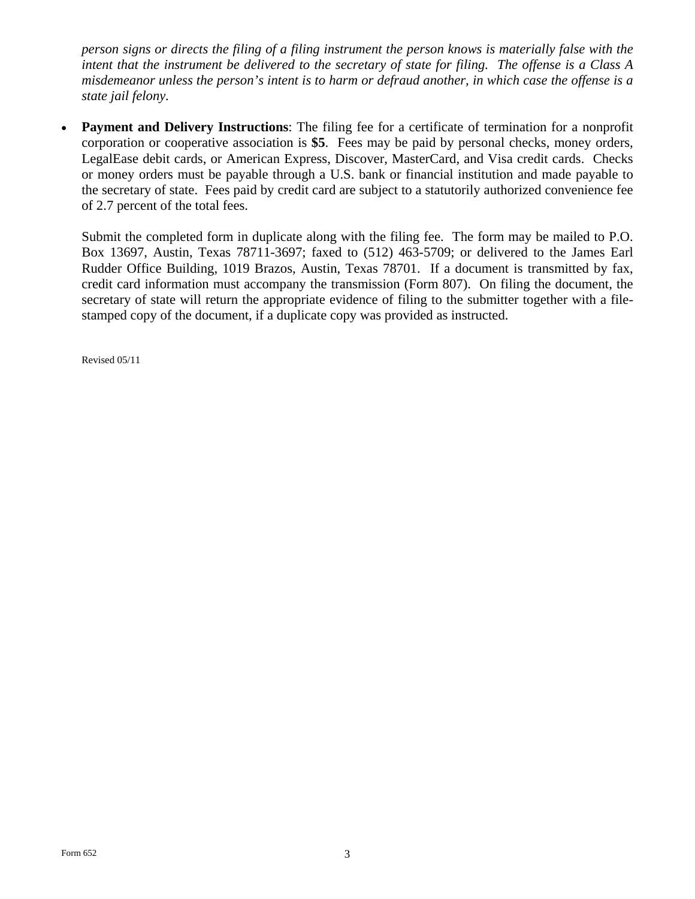*person signs or directs the filing of a filing instrument the person knows is materially false with the intent that the instrument be delivered to the secretary of state for filing. The offense is a Class A misdemeanor unless the person's intent is to harm or defraud another, in which case the offense is a state jail felony.* 

**Payment and Delivery Instructions:** The filing fee for a certificate of termination for a nonprofit corporation or cooperative association is **\$5**. Fees may be paid by personal checks, money orders, LegalEase debit cards, or American Express, Discover, MasterCard, and Visa credit cards. Checks or money orders must be payable through a U.S. bank or financial institution and made payable to the secretary of state. Fees paid by credit card are subject to a statutorily authorized convenience fee of 2.7 percent of the total fees.

Submit the completed form in duplicate along with the filing fee. The form may be mailed to P.O. Box 13697, Austin, Texas 78711-3697; faxed to (512) 463-5709; or delivered to the James Earl Rudder Office Building, 1019 Brazos, Austin, Texas 78701. If a document is transmitted by fax, credit card information must accompany the transmission (Form 807). On filing the document, the secretary of state will return the appropriate evidence of filing to the submitter together with a filestamped copy of the document, if a duplicate copy was provided as instructed.

Revised 05/11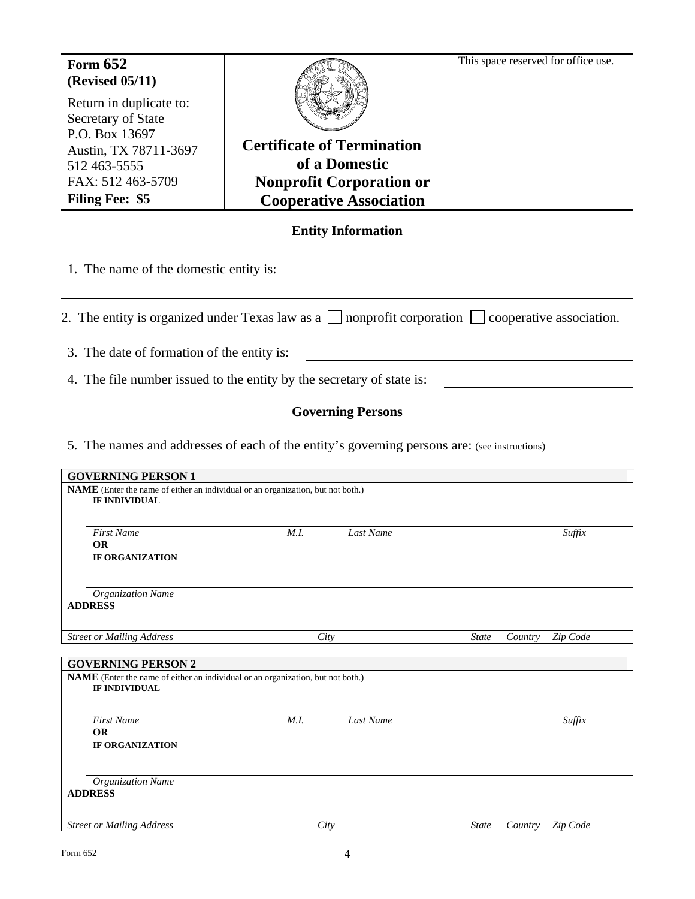# **(Revised 05/11)**

Return in duplicate to: Secretary of State P.O. Box 13697 Austin, TX 78711-3697 512 463-5555 FAX: 512 463-5709 **Filing Fee: \$5** 



Form 652 **Form 652 Form 652 Form 652 Form 652 Form 652 Form 652 Form 652 Form 652 Form 1 Form 1 Form 1 Form 1 Form 1 Form 1 Form 1 Form 1 Form 1 Form 1 Form 1 Form 1 Form 1 Form 1** 

**Certificate of Termination of a Domestic Nonprofit Corporation or Cooperative Association**

# **Entity Information**

1. The name of the domestic entity is:

2. The entity is organized under Texas law as a  $\Box$  nonprofit corporation  $\Box$  cooperative association.

3. The date of formation of the entity is:

4. The file number issued to the entity by the secretary of state is:

# **Governing Persons**

5. The names and addresses of each of the entity's governing persons are: (see instructions)

| <b>GOVERNING PERSON 1</b>                                                                                                                   |      |           |              |         |          |  |  |  |
|---------------------------------------------------------------------------------------------------------------------------------------------|------|-----------|--------------|---------|----------|--|--|--|
| NAME (Enter the name of either an individual or an organization, but not both.)<br><b>IF INDIVIDUAL</b>                                     |      |           |              |         |          |  |  |  |
| <b>First Name</b><br><b>OR</b><br><b>IF ORGANIZATION</b>                                                                                    | M.I. | Last Name |              |         | Suffix   |  |  |  |
| <b>Organization Name</b><br><b>ADDRESS</b>                                                                                                  |      |           |              |         |          |  |  |  |
| <b>Street or Mailing Address</b>                                                                                                            | City |           | <b>State</b> | Country | Zip Code |  |  |  |
| <b>GOVERNING PERSON 2</b><br><b>NAME</b> (Enter the name of either an individual or an organization, but not both.)<br><b>IF INDIVIDUAL</b> |      |           |              |         |          |  |  |  |
| <b>First Name</b><br><b>OR</b><br><b>IF ORGANIZATION</b>                                                                                    | M.I. | Last Name |              |         | Suffix   |  |  |  |
| Organization Name<br><b>ADDRESS</b>                                                                                                         |      |           |              |         |          |  |  |  |
| <b>Street or Mailing Address</b>                                                                                                            | City |           | <b>State</b> | Country | Zip Code |  |  |  |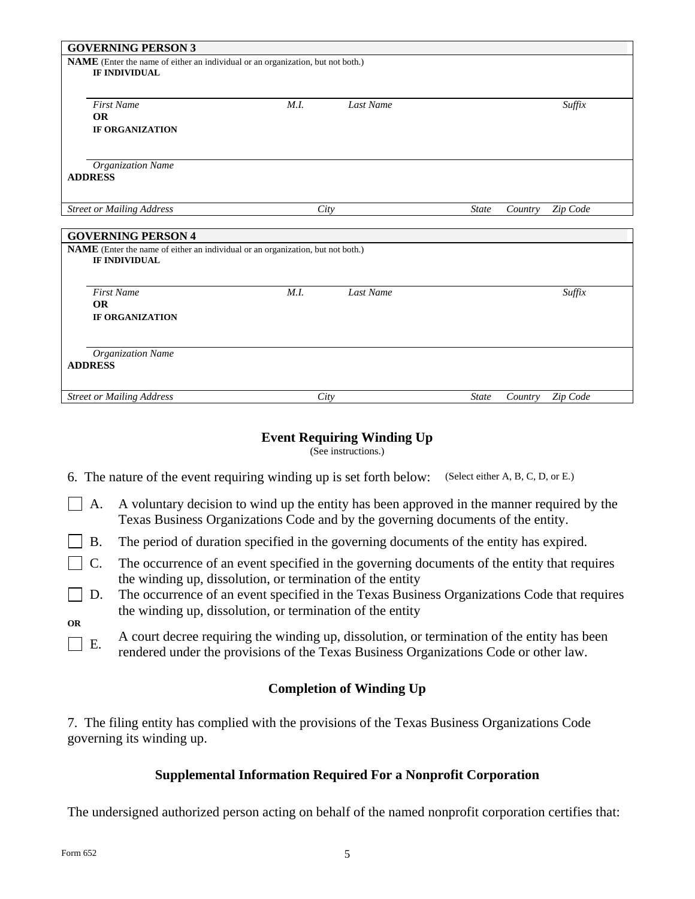| <b>GOVERNING PERSON 3</b>                                                                                                            |      |           |              |         |          |  |  |  |  |
|--------------------------------------------------------------------------------------------------------------------------------------|------|-----------|--------------|---------|----------|--|--|--|--|
| NAME (Enter the name of either an individual or an organization, but not both.)<br><b>IF INDIVIDUAL</b>                              |      |           |              |         |          |  |  |  |  |
| <b>First Name</b><br><b>OR</b><br><b>IF ORGANIZATION</b>                                                                             | M.I. | Last Name |              |         | Suffix   |  |  |  |  |
| <b>Organization Name</b><br><b>ADDRESS</b>                                                                                           |      |           |              |         |          |  |  |  |  |
| <b>Street or Mailing Address</b>                                                                                                     |      | City      |              | Country | Zip Code |  |  |  |  |
| <b>GOVERNING PERSON 4</b><br>NAME (Enter the name of either an individual or an organization, but not both.)<br><b>IF INDIVIDUAL</b> |      |           |              |         |          |  |  |  |  |
| <b>First Name</b><br><b>OR</b><br><b>IF ORGANIZATION</b>                                                                             | M.I. | Last Name |              |         | Suffix   |  |  |  |  |
| Organization Name<br><b>ADDRESS</b>                                                                                                  |      |           |              |         |          |  |  |  |  |
| <b>Street or Mailing Address</b>                                                                                                     | City |           | <b>State</b> | Country | Zip Code |  |  |  |  |

# **Event Requiring Winding Up**

(See instructions.)

6. The nature of the event requiring winding up is set forth below: (Select either A, B, C, D, or E.)

- $\Box$  A. A voluntary decision to wind up the entity has been approved in the manner required by the Texas Business Organizations Code and by the governing documents of the entity.
- $\Box$  B. The period of duration specified in the governing documents of the entity has expired.
- $\Box$  C. The occurrence of an event specified in the governing documents of the entity that requires the winding up, dissolution, or termination of the entity
- $\Box$  D. The occurrence of an event specified in the Texas Business Organizations Code that requires the winding up, dissolution, or termination of the entity

**OR** 

 $\Box$  E. A court decree requiring the winding up, dissolution, or termination of the entity has been rendered under the provisions of the Texas Business Organizations Code or other law.

## **Completion of Winding Up**

7. The filing entity has complied with the provisions of the Texas Business Organizations Code governing its winding up.

## **Supplemental Information Required For a Nonprofit Corporation**

The undersigned authorized person acting on behalf of the named nonprofit corporation certifies that: